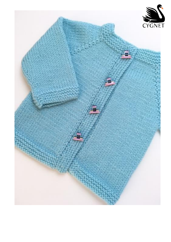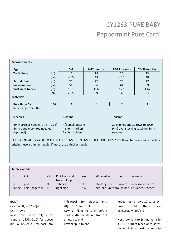## CY1263 PURE BABY Peppermint Pure Cardi

| <b>Measurements</b>                                                                                                                                                          |      |                                       |                 |                                                                      |                 |  |  |  |  |
|------------------------------------------------------------------------------------------------------------------------------------------------------------------------------|------|---------------------------------------|-----------------|----------------------------------------------------------------------|-----------------|--|--|--|--|
| Age                                                                                                                                                                          |      | $0 - 6$                               | 6-12 months     | 12-24 months                                                         | 24-36 months    |  |  |  |  |
| To fit chest                                                                                                                                                                 | (in) | 16                                    | 18              | 20                                                                   | 23              |  |  |  |  |
|                                                                                                                                                                              | (cm) | 40.5                                  | 43              | 45.5                                                                 | 48              |  |  |  |  |
| <b>Actual chest</b>                                                                                                                                                          | (in) | 20                                    | 22              | 24                                                                   | 27              |  |  |  |  |
| measurement                                                                                                                                                                  | (cm) | 51                                    | 56              | 61                                                                   | 69              |  |  |  |  |
| <b>Back neck to hem</b>                                                                                                                                                      | (in) | $10\%$                                | $11\frac{1}{2}$ | $12\frac{1}{2}$                                                      | $13\frac{1}{2}$ |  |  |  |  |
|                                                                                                                                                                              | (cm) | 26.5                                  | 29              | 32                                                                   | 34              |  |  |  |  |
| <b>Materials</b>                                                                                                                                                             |      |                                       |                 |                                                                      |                 |  |  |  |  |
| <b>Pure Baby DK</b>                                                                                                                                                          | 100g | $\mathbf{1}$                          | $\mathbf{1}$    | $\overline{2}$                                                       | $\overline{2}$  |  |  |  |  |
| Shade Peppermint 878                                                                                                                                                         |      |                                       |                 |                                                                      |                 |  |  |  |  |
|                                                                                                                                                                              |      |                                       |                 |                                                                      |                 |  |  |  |  |
| <b>Needles</b>                                                                                                                                                               |      | <b>Buttons</b>                        |                 | <b>Tension</b>                                                       |                 |  |  |  |  |
| 4mm circular needle (UK 8 - US 6)<br>4mm double pointed needles                                                                                                              |      | 4/5 small buttons<br>4 stitch markers |                 | 20 stitches and 30 rows to 10cm<br>(4in) over stocking stitch on 4mm |                 |  |  |  |  |
| (optional)                                                                                                                                                                   |      | 2 stitch holders                      |                 | needles                                                              |                 |  |  |  |  |
| IT IS ESSENTIAL TO WORK TO THE STATED TENSION TO ENSURE THE CORRECT SIZING. If you tension square has less<br>stitches, use a thinner needle, if more, use a thicker needle. |      |                                       |                 |                                                                      |                 |  |  |  |  |
|                                                                                                                                                                              |      |                                       |                 |                                                                      |                 |  |  |  |  |
|                                                                                                                                                                              |      |                                       |                 |                                                                      |                 |  |  |  |  |
|                                                                                                                                                                              |      |                                       |                 |                                                                      |                 |  |  |  |  |
|                                                                                                                                                                              |      |                                       |                 |                                                                      |                 |  |  |  |  |
| <b>Abbreviations</b>                                                                                                                                                         |      |                                       |                 |                                                                      |                 |  |  |  |  |

| ĸ     | knit                    | kfb             | Knit front and<br>back of loop | sm          | slip marker     | dec    | decrease                                                                |
|-------|-------------------------|-----------------|--------------------------------|-------------|-----------------|--------|-------------------------------------------------------------------------|
| k2tog | purl<br>knit 2 together | st<br><b>RS</b> | stitches<br>right side         | stst<br>Ssk | stocking stitch | ins/cm | inches/centimetres<br>slip, slip, knit through back of slipped stitches |

## **BODY**

Cast on 50[56:62:70]sts Knit 7 rows Next row: k8[9:10:11]sts for front, pm, k7[8:9:10] for sleeve, pm, k20[22:24:28] for back, pm,

k7[8:9:10] for sleeve, pm, k8[9:10:11] for front. **Row 1:** \*knit to 1 st before marker, kfb, sm, kfb; rep from \* 3 times, k to end **Row 2:** \*purl to end

Repeat last 2 rows 12[12:13:14] times until there are 154[160:174:190]sts

**Next row:** knit to 1st marker, slip 33[34:37:40] stitches onto stitch holder, knit to next marker slip